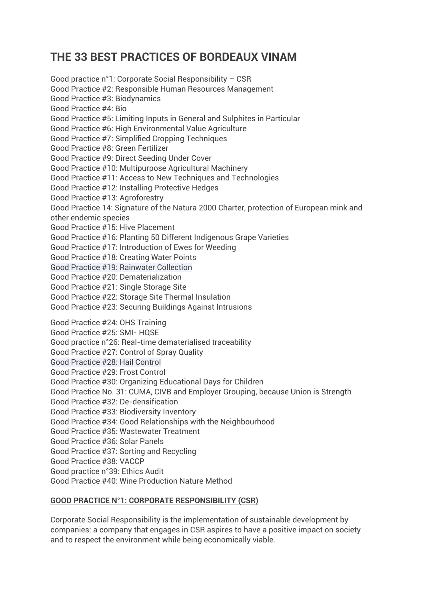# **THE 33 BEST PRACTICES OF BORDEAUX VINAM**

Good practice n°1: Corporate Social Responsibility – CSR Good Practice #2: Responsible Human Resources Management Good Practice #3: Biodynamics Good Practice #4: Bio Good Practice #5: Limiting Inputs in General and Sulphites in Particular Good Practice #6: High Environmental Value Agriculture Good Practice #7: Simplified Cropping Techniques Good Practice #8: Green Fertilizer Good Practice #9: Direct Seeding Under Cover Good Practice #10: Multipurpose Agricultural Machinery Good Practice #11: Access to New Techniques and Technologies Good Practice #12: Installing Protective Hedges Good Practice #13: Agroforestry Good Practice 14: Signature of the Natura 2000 Charter, protection of European mink and other endemic species Good Practice #15: Hive Placement Good Practice #16: Planting 50 Different Indigenous Grape Varieties Good Practice #17: Introduction of Ewes for Weeding Good Practice #18: Creating Water Points Good Practice #19: Rainwater Collection Good Practice #20: Dematerialization Good Practice #21: Single Storage Site Good Practice #22: Storage Site Thermal Insulation Good Practice #23: Securing Buildings Against Intrusions Good Practice #24: OHS Training Good Practice #25: SMI- HQSE Good practice n°26: Real-time dematerialised traceability Good Practice #27: Control of Spray Quality Good Practice #28: Hail Control Good Practice #29: Frost Control Good Practice #30: Organizing Educational Days for Children Good Practice No. 31: CUMA, CIVB and Employer Grouping, because Union is Strength Good Practice #32: De-densification Good Practice #33: Biodiversity Inventory Good Practice #34: Good Relationships with the Neighbourhood Good Practice #35: Wastewater Treatment Good Practice #36: Solar Panels Good Practice #37: Sorting and Recycling Good Practice #38: VACCP Good practice n°39: Ethics Audit Good Practice #40: Wine Production Nature Method

#### **GOOD PRACTICE N°1: CORPORATE RESPONSIBILITY (CSR)**

Corporate Social Responsibility is the implementation of sustainable development by companies: a company that engages in CSR aspires to have a positive impact on society and to respect the environment while being economically viable.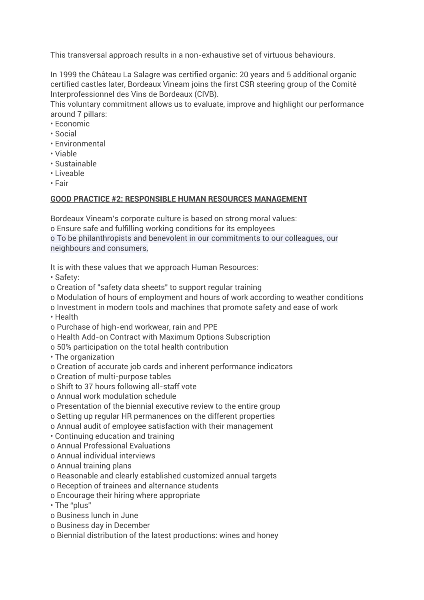This transversal approach results in a non-exhaustive set of virtuous behaviours.

In 1999 the Château La Salagre was certified organic: 20 years and 5 additional organic certified castles later, Bordeaux Vineam joins the first CSR steering group of the Comité Interprofessionnel des Vins de Bordeaux (CIVB).

This voluntary commitment allows us to evaluate, improve and highlight our performance around 7 pillars:

- Economic
- Social
- Environmental
- Viable
- Sustainable
- Liveable
- Fair

#### **GOOD PRACTICE #2: RESPONSIBLE HUMAN RESOURCES MANAGEMENT**

Bordeaux Vineam's corporate culture is based on strong moral values:

o Ensure safe and fulfilling working conditions for its employees

o To be philanthropists and benevolent in our commitments to our colleagues, our neighbours and consumers,

It is with these values that we approach Human Resources:

• Safety:

- o Creation of "safety data sheets" to support regular training
- o Modulation of hours of employment and hours of work according to weather conditions
- o Investment in modern tools and machines that promote safety and ease of work

• Health

- o Purchase of high-end workwear, rain and PPE
- o Health Add-on Contract with Maximum Options Subscription
- o 50% participation on the total health contribution
- The organization
- o Creation of accurate job cards and inherent performance indicators
- o Creation of multi-purpose tables
- o Shift to 37 hours following all-staff vote
- o Annual work modulation schedule
- o Presentation of the biennial executive review to the entire group
- o Setting up regular HR permanences on the different properties
- o Annual audit of employee satisfaction with their management
- Continuing education and training
- o Annual Professional Evaluations
- o Annual individual interviews
- o Annual training plans
- o Reasonable and clearly established customized annual targets
- o Reception of trainees and alternance students
- o Encourage their hiring where appropriate
- The "plus"
- o Business lunch in June
- o Business day in December
- o Biennial distribution of the latest productions: wines and honey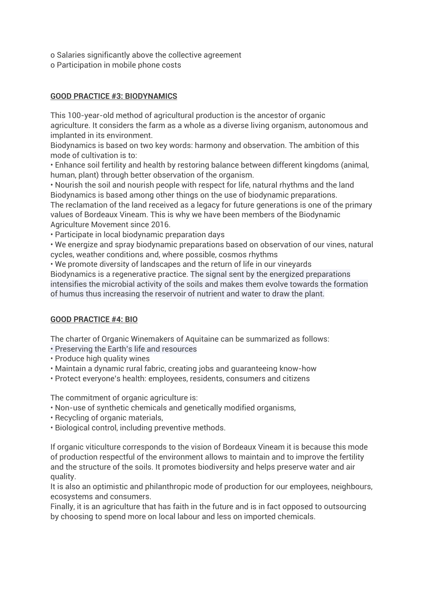- o Salaries significantly above the collective agreement
- o Participation in mobile phone costs

## **GOOD PRACTICE #3: BIODYNAMICS**

This 100-year-old method of agricultural production is the ancestor of organic agriculture. It considers the farm as a whole as a diverse living organism, autonomous and implanted in its environment.

Biodynamics is based on two key words: harmony and observation. The ambition of this mode of cultivation is to:

• Enhance soil fertility and health by restoring balance between different kingdoms (animal, human, plant) through better observation of the organism.

• Nourish the soil and nourish people with respect for life, natural rhythms and the land Biodynamics is based among other things on the use of biodynamic preparations.

The reclamation of the land received as a legacy for future generations is one of the primary values of Bordeaux Vineam. This is why we have been members of the Biodynamic Agriculture Movement since 2016.

• Participate in local biodynamic preparation days

• We energize and spray biodynamic preparations based on observation of our vines, natural cycles, weather conditions and, where possible, cosmos rhythms

• We promote diversity of landscapes and the return of life in our vineyards Biodynamics is a regenerative practice. The signal sent by the energized preparations intensifies the microbial activity of the soils and makes them evolve towards the formation of humus thus increasing the reservoir of nutrient and water to draw the plant.

#### **GOOD PRACTICE #4: BIO**

The charter of Organic Winemakers of Aquitaine can be summarized as follows:

- Preserving the Earth's life and resources
- Produce high quality wines
- Maintain a dynamic rural fabric, creating jobs and guaranteeing know-how
- Protect everyone's health: employees, residents, consumers and citizens

The commitment of organic agriculture is:

- Non-use of synthetic chemicals and genetically modified organisms,
- Recycling of organic materials,
- Biological control, including preventive methods.

If organic viticulture corresponds to the vision of Bordeaux Vineam it is because this mode of production respectful of the environment allows to maintain and to improve the fertility and the structure of the soils. It promotes biodiversity and helps preserve water and air quality.

It is also an optimistic and philanthropic mode of production for our employees, neighbours, ecosystems and consumers.

Finally, it is an agriculture that has faith in the future and is in fact opposed to outsourcing by choosing to spend more on local labour and less on imported chemicals.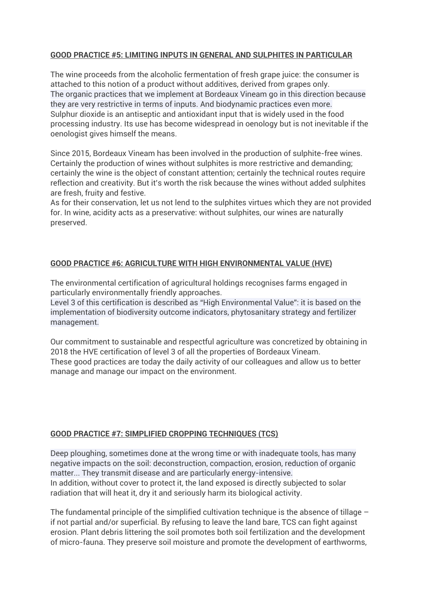#### **GOOD PRACTICE #5: LIMITING INPUTS IN GENERAL AND SULPHITES IN PARTICULAR**

The wine proceeds from the alcoholic fermentation of fresh grape juice: the consumer is attached to this notion of a product without additives, derived from grapes only. The organic practices that we implement at Bordeaux Vineam go in this direction because they are very restrictive in terms of inputs. And biodynamic practices even more. Sulphur dioxide is an antiseptic and antioxidant input that is widely used in the food processing industry. Its use has become widespread in oenology but is not inevitable if the oenologist gives himself the means.

Since 2015, Bordeaux Vineam has been involved in the production of sulphite-free wines. Certainly the production of wines without sulphites is more restrictive and demanding; certainly the wine is the object of constant attention; certainly the technical routes require reflection and creativity. But it's worth the risk because the wines without added sulphites are fresh, fruity and festive.

As for their conservation, let us not lend to the sulphites virtues which they are not provided for. In wine, acidity acts as a preservative: without sulphites, our wines are naturally preserved.

## **GOOD PRACTICE #6: AGRICULTURE WITH HIGH ENVIRONMENTAL VALUE (HVE)**

The environmental certification of agricultural holdings recognises farms engaged in particularly environmentally friendly approaches.

Level 3 of this certification is described as "High Environmental Value": it is based on the implementation of biodiversity outcome indicators, phytosanitary strategy and fertilizer management.

Our commitment to sustainable and respectful agriculture was concretized by obtaining in 2018 the HVE certification of level 3 of all the properties of Bordeaux Vineam. These good practices are today the daily activity of our colleagues and allow us to better manage and manage our impact on the environment.

#### **GOOD PRACTICE #7: SIMPLIFIED CROPPING TECHNIQUES (TCS)**

Deep ploughing, sometimes done at the wrong time or with inadequate tools, has many negative impacts on the soil: deconstruction, compaction, erosion, reduction of organic matter... They transmit disease and are particularly energy-intensive. In addition, without cover to protect it, the land exposed is directly subjected to solar radiation that will heat it, dry it and seriously harm its biological activity.

The fundamental principle of the simplified cultivation technique is the absence of tillage  $$ if not partial and/or superficial. By refusing to leave the land bare, TCS can fight against erosion. Plant debris littering the soil promotes both soil fertilization and the development of micro-fauna. They preserve soil moisture and promote the development of earthworms,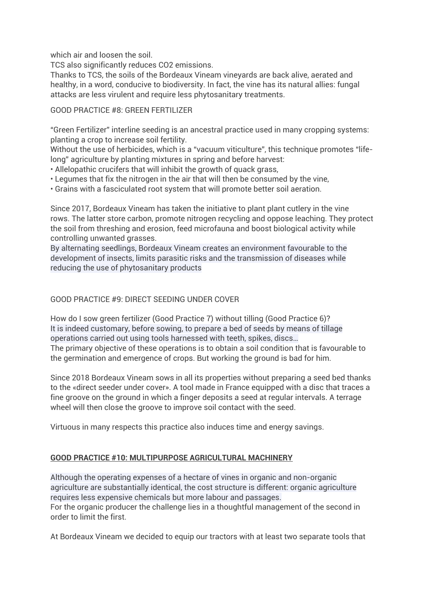which air and loosen the soil

TCS also significantly reduces CO2 emissions.

Thanks to TCS, the soils of the Bordeaux Vineam vineyards are back alive, aerated and healthy, in a word, conducive to biodiversity. In fact, the vine has its natural allies: fungal attacks are less virulent and require less phytosanitary treatments.

## GOOD PRACTICE #8: GREEN FERTILIZER

"Green Fertilizer" interline seeding is an ancestral practice used in many cropping systems: planting a crop to increase soil fertility.

Without the use of herbicides, which is a "vacuum viticulture", this technique promotes "lifelong" agriculture by planting mixtures in spring and before harvest:

- Allelopathic crucifers that will inhibit the growth of quack grass,
- Legumes that fix the nitrogen in the air that will then be consumed by the vine,
- Grains with a fasciculated root system that will promote better soil aeration.

Since 2017, Bordeaux Vineam has taken the initiative to plant plant cutlery in the vine rows. The latter store carbon, promote nitrogen recycling and oppose leaching. They protect the soil from threshing and erosion, feed microfauna and boost biological activity while controlling unwanted grasses.

By alternating seedlings, Bordeaux Vineam creates an environment favourable to the development of insects, limits parasitic risks and the transmission of diseases while reducing the use of phytosanitary products

## GOOD PRACTICE #9: DIRECT SEEDING UNDER COVER

How do I sow green fertilizer (Good Practice 7) without tilling (Good Practice 6)? It is indeed customary, before sowing, to prepare a bed of seeds by means of tillage operations carried out using tools harnessed with teeth, spikes, discs… The primary objective of these operations is to obtain a soil condition that is favourable to the germination and emergence of crops. But working the ground is bad for him.

Since 2018 Bordeaux Vineam sows in all its properties without preparing a seed bed thanks to the «direct seeder under cover». A tool made in France equipped with a disc that traces a fine groove on the ground in which a finger deposits a seed at regular intervals. A terrage wheel will then close the groove to improve soil contact with the seed.

Virtuous in many respects this practice also induces time and energy savings.

# **GOOD PRACTICE #10: MULTIPURPOSE AGRICULTURAL MACHINERY**

Although the operating expenses of a hectare of vines in organic and non-organic agriculture are substantially identical, the cost structure is different: organic agriculture requires less expensive chemicals but more labour and passages. For the organic producer the challenge lies in a thoughtful management of the second in order to limit the first.

At Bordeaux Vineam we decided to equip our tractors with at least two separate tools that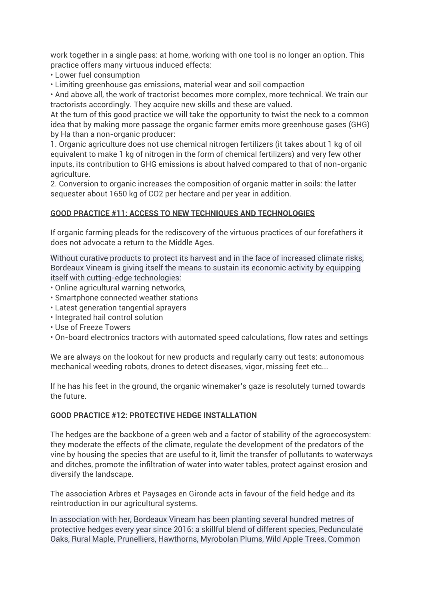work together in a single pass: at home, working with one tool is no longer an option. This practice offers many virtuous induced effects:

• Lower fuel consumption

• Limiting greenhouse gas emissions, material wear and soil compaction

• And above all, the work of tractorist becomes more complex, more technical. We train our tractorists accordingly. They acquire new skills and these are valued.

At the turn of this good practice we will take the opportunity to twist the neck to a common idea that by making more passage the organic farmer emits more greenhouse gases (GHG) by Ha than a non-organic producer:

1. Organic agriculture does not use chemical nitrogen fertilizers (it takes about 1 kg of oil equivalent to make 1 kg of nitrogen in the form of chemical fertilizers) and very few other inputs, its contribution to GHG emissions is about halved compared to that of non-organic agriculture.

2. Conversion to organic increases the composition of organic matter in soils: the latter sequester about 1650 kg of CO2 per hectare and per year in addition.

#### **GOOD PRACTICE #11: ACCESS TO NEW TECHNIQUES AND TECHNOLOGIES**

If organic farming pleads for the rediscovery of the virtuous practices of our forefathers it does not advocate a return to the Middle Ages.

Without curative products to protect its harvest and in the face of increased climate risks, Bordeaux Vineam is giving itself the means to sustain its economic activity by equipping itself with cutting-edge technologies:

- Online agricultural warning networks,
- Smartphone connected weather stations
- Latest generation tangential sprayers
- Integrated hail control solution
- Use of Freeze Towers
- On-board electronics tractors with automated speed calculations, flow rates and settings

We are always on the lookout for new products and regularly carry out tests: autonomous mechanical weeding robots, drones to detect diseases, vigor, missing feet etc...

If he has his feet in the ground, the organic winemaker's gaze is resolutely turned towards the future.

#### **GOOD PRACTICE #12: PROTECTIVE HEDGE INSTALLATION**

The hedges are the backbone of a green web and a factor of stability of the agroecosystem: they moderate the effects of the climate, regulate the development of the predators of the vine by housing the species that are useful to it, limit the transfer of pollutants to waterways and ditches, promote the infiltration of water into water tables, protect against erosion and diversify the landscape.

The association Arbres et Paysages en Gironde acts in favour of the field hedge and its reintroduction in our agricultural systems.

In association with her, Bordeaux Vineam has been planting several hundred metres of protective hedges every year since 2016: a skillful blend of different species, Pedunculate Oaks, Rural Maple, Prunelliers, Hawthorns, Myrobolan Plums, Wild Apple Trees, Common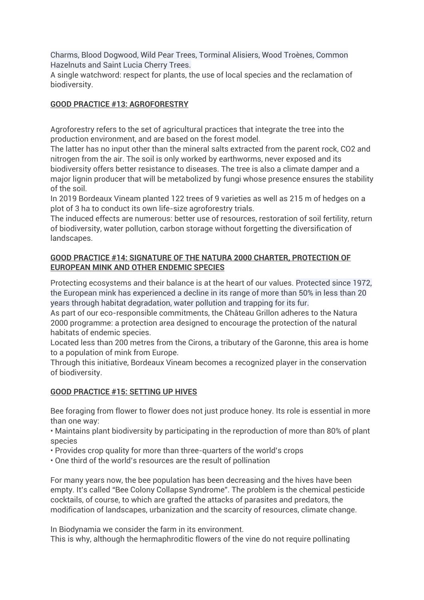Charms, Blood Dogwood, Wild Pear Trees, Torminal Alisiers, Wood Troènes, Common Hazelnuts and Saint Lucia Cherry Trees.

A single watchword: respect for plants, the use of local species and the reclamation of biodiversity.

## **GOOD PRACTICE #13: AGROFORESTRY**

Agroforestry refers to the set of agricultural practices that integrate the tree into the production environment, and are based on the forest model.

The latter has no input other than the mineral salts extracted from the parent rock, CO2 and nitrogen from the air. The soil is only worked by earthworms, never exposed and its biodiversity offers better resistance to diseases. The tree is also a climate damper and a major lignin producer that will be metabolized by fungi whose presence ensures the stability of the soil.

In 2019 Bordeaux Vineam planted 122 trees of 9 varieties as well as 215 m of hedges on a plot of 3 ha to conduct its own life-size agroforestry trials.

The induced effects are numerous: better use of resources, restoration of soil fertility, return of biodiversity, water pollution, carbon storage without forgetting the diversification of landscapes.

#### **GOOD PRACTICE #14: SIGNATURE OF THE NATURA 2000 CHARTER, PROTECTION OF EUROPEAN MINK AND OTHER ENDEMIC SPECIES**

Protecting ecosystems and their balance is at the heart of our values. Protected since 1972, the European mink has experienced a decline in its range of more than 50% in less than 20 years through habitat degradation, water pollution and trapping for its fur.

As part of our eco-responsible commitments, the Château Grillon adheres to the Natura 2000 programme: a protection area designed to encourage the protection of the natural habitats of endemic species.

Located less than 200 metres from the Cirons, a tributary of the Garonne, this area is home to a population of mink from Europe.

Through this initiative, Bordeaux Vineam becomes a recognized player in the conservation of biodiversity.

#### **GOOD PRACTICE #15: SETTING UP HIVES**

Bee foraging from flower to flower does not just produce honey. Its role is essential in more than one way:

• Maintains plant biodiversity by participating in the reproduction of more than 80% of plant species

- Provides crop quality for more than three-quarters of the world's crops
- One third of the world's resources are the result of pollination

For many years now, the bee population has been decreasing and the hives have been empty. It's called "Bee Colony Collapse Syndrome". The problem is the chemical pesticide cocktails, of course, to which are grafted the attacks of parasites and predators, the modification of landscapes, urbanization and the scarcity of resources, climate change.

In Biodynamia we consider the farm in its environment.

This is why, although the hermaphroditic flowers of the vine do not require pollinating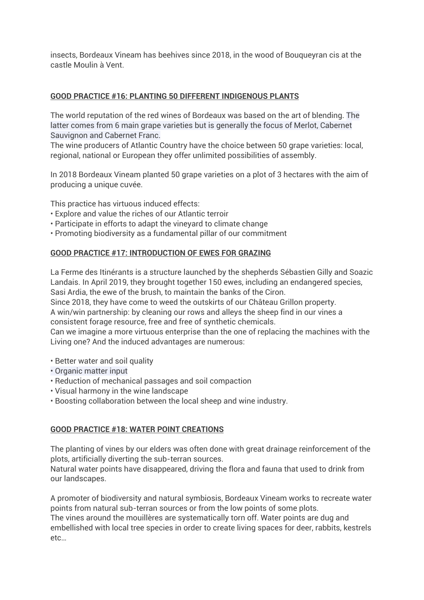insects, Bordeaux Vineam has beehives since 2018, in the wood of Bouqueyran cis at the castle Moulin à Vent.

#### **GOOD PRACTICE #16: PLANTING 50 DIFFERENT INDIGENOUS PLANTS**

The world reputation of the red wines of Bordeaux was based on the art of blending. The latter comes from 6 main grape varieties but is generally the focus of Merlot, Cabernet Sauvignon and Cabernet Franc.

The wine producers of Atlantic Country have the choice between 50 grape varieties: local, regional, national or European they offer unlimited possibilities of assembly.

In 2018 Bordeaux Vineam planted 50 grape varieties on a plot of 3 hectares with the aim of producing a unique cuvée.

This practice has virtuous induced effects:

- Explore and value the riches of our Atlantic terroir
- Participate in efforts to adapt the vineyard to climate change
- Promoting biodiversity as a fundamental pillar of our commitment

#### **GOOD PRACTICE #17: INTRODUCTION OF EWES FOR GRAZING**

La Ferme des Itinérants is a structure launched by the shepherds Sébastien Gilly and Soazic Landais. In April 2019, they brought together 150 ewes, including an endangered species, Sasi Ardia, the ewe of the brush, to maintain the banks of the Ciron.

Since 2018, they have come to weed the outskirts of our Château Grillon property.

A win/win partnership: by cleaning our rows and alleys the sheep find in our vines a consistent forage resource, free and free of synthetic chemicals.

Can we imagine a more virtuous enterprise than the one of replacing the machines with the Living one? And the induced advantages are numerous:

- Better water and soil quality
- Organic matter input
- Reduction of mechanical passages and soil compaction
- Visual harmony in the wine landscape
- Boosting collaboration between the local sheep and wine industry.

#### **GOOD PRACTICE #18: WATER POINT CREATIONS**

The planting of vines by our elders was often done with great drainage reinforcement of the plots, artificially diverting the sub-terran sources.

Natural water points have disappeared, driving the flora and fauna that used to drink from our landscapes.

A promoter of biodiversity and natural symbiosis, Bordeaux Vineam works to recreate water points from natural sub-terran sources or from the low points of some plots.

The vines around the mouillères are systematically torn off. Water points are dug and embellished with local tree species in order to create living spaces for deer, rabbits, kestrels etc…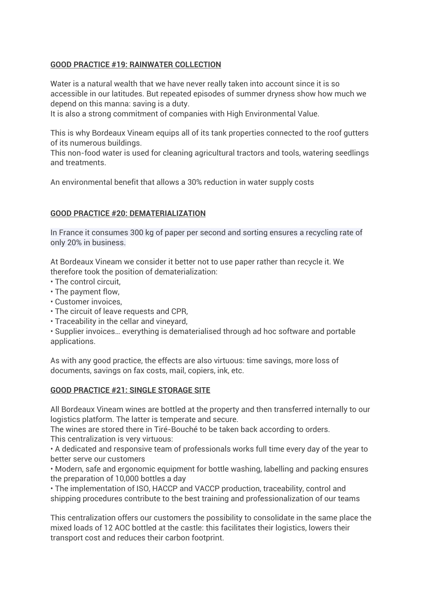#### **GOOD PRACTICE #19: RAINWATER COLLECTION**

Water is a natural wealth that we have never really taken into account since it is so accessible in our latitudes. But repeated episodes of summer dryness show how much we depend on this manna: saving is a duty.

It is also a strong commitment of companies with High Environmental Value.

This is why Bordeaux Vineam equips all of its tank properties connected to the roof gutters of its numerous buildings.

This non-food water is used for cleaning agricultural tractors and tools, watering seedlings and treatments.

An environmental benefit that allows a 30% reduction in water supply costs

## **GOOD PRACTICE #20: DEMATERIALIZATION**

In France it consumes 300 kg of paper per second and sorting ensures a recycling rate of only 20% in business.

At Bordeaux Vineam we consider it better not to use paper rather than recycle it. We therefore took the position of dematerialization:

- The control circuit,
- The payment flow,
- Customer invoices,
- The circuit of leave requests and CPR,
- Traceability in the cellar and vineyard,

• Supplier invoices… everything is dematerialised through ad hoc software and portable applications.

As with any good practice, the effects are also virtuous: time savings, more loss of documents, savings on fax costs, mail, copiers, ink, etc.

#### **GOOD PRACTICE #21: SINGLE STORAGE SITE**

All Bordeaux Vineam wines are bottled at the property and then transferred internally to our logistics platform. The latter is temperate and secure.

The wines are stored there in Tiré-Bouché to be taken back according to orders. This centralization is very virtuous:

• A dedicated and responsive team of professionals works full time every day of the year to better serve our customers

• Modern, safe and ergonomic equipment for bottle washing, labelling and packing ensures the preparation of 10,000 bottles a day

• The implementation of ISO, HACCP and VACCP production, traceability, control and shipping procedures contribute to the best training and professionalization of our teams

This centralization offers our customers the possibility to consolidate in the same place the mixed loads of 12 AOC bottled at the castle: this facilitates their logistics, lowers their transport cost and reduces their carbon footprint.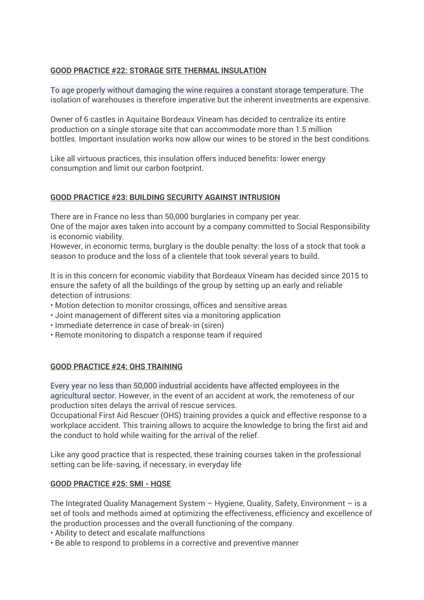#### **GOOD PRACTICE #22: STORAGE SITE THERMAL INSULATION**

To age properly without damaging the wine requires a constant storage temperature. The isolation of warehouses is therefore imperative but the inherent investments are expensive.

Owner of 6 castles in Aquitaine Bordeaux Vineam has decided to centralize its entire production on a single storage site that can accommodate more than 1.5 million bottles. Important insulation works now allow our wines to be stored in the best conditions.

Like all virtuous practices, this insulation offers induced benefits: lower energy consumption and limit our carbon footprint.

## **GOOD PRACTICE #23: BUILDING SECURITY AGAINST INTRUSION**

There are in France no less than 50,000 burglaries in company per year.

One of the major axes taken into account by a company committed to Social Responsibility is economic viability.

However, in economic terms, burglary is the double penalty: the loss of a stock that took a season to produce and the loss of a clientele that took several years to build.

It is in this concern for economic viability that Bordeaux Vineam has decided since 2015 to ensure the safety of all the buildings of the group by setting up an early and reliable detection of intrusions:

- Motion detection to monitor crossings, offices and sensitive areas
- Joint management of different sites via a monitoring application
- Immediate deterrence in case of break-in (siren)
- Remote monitoring to dispatch a response team if required

#### **GOOD PRACTICE #24: OHS TRAINING**

Every year no less than 50,000 industrial accidents have affected employees in the agricultural sector. However, in the event of an accident at work, the remoteness of our production sites delays the arrival of rescue services.

Occupational First Aid Rescuer (OHS) training provides a quick and effective response to a workplace accident. This training allows to acquire the knowledge to bring the first aid and the conduct to hold while waiting for the arrival of the relief.

Like any good practice that is respected, these training courses taken in the professional setting can be life-saving, if necessary, in everyday life

#### **GOOD PRACTICE #25: SMI - HQSE**

The Integrated Quality Management System – Hygiene, Quality, Safety, Environment – is a set of tools and methods aimed at optimizing the effectiveness, efficiency and excellence of the production processes and the overall functioning of the company.

- Ability to detect and escalate malfunctions
- Be able to respond to problems in a corrective and preventive manner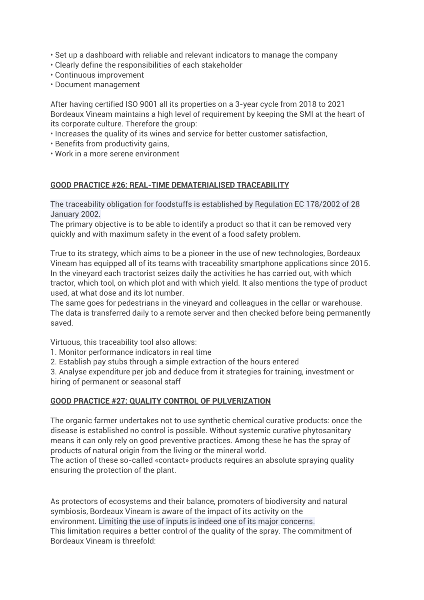- Set up a dashboard with reliable and relevant indicators to manage the company
- Clearly define the responsibilities of each stakeholder
- Continuous improvement
- Document management

After having certified ISO 9001 all its properties on a 3-year cycle from 2018 to 2021 Bordeaux Vineam maintains a high level of requirement by keeping the SMI at the heart of its corporate culture. Therefore the group:

- Increases the quality of its wines and service for better customer satisfaction,
- Benefits from productivity gains,
- Work in a more serene environment

#### **GOOD PRACTICE #26: REAL-TIME DEMATERIALISED TRACEABILITY**

The traceability obligation for foodstuffs is established by Regulation EC 178/2002 of 28 January 2002.

The primary objective is to be able to identify a product so that it can be removed very quickly and with maximum safety in the event of a food safety problem.

True to its strategy, which aims to be a pioneer in the use of new technologies, Bordeaux Vineam has equipped all of its teams with traceability smartphone applications since 2015. In the vineyard each tractorist seizes daily the activities he has carried out, with which tractor, which tool, on which plot and with which yield. It also mentions the type of product used, at what dose and its lot number.

The same goes for pedestrians in the vineyard and colleagues in the cellar or warehouse. The data is transferred daily to a remote server and then checked before being permanently saved.

Virtuous, this traceability tool also allows:

1. Monitor performance indicators in real time

2. Establish pay stubs through a simple extraction of the hours entered

3. Analyse expenditure per job and deduce from it strategies for training, investment or hiring of permanent or seasonal staff

#### **GOOD PRACTICE #27: QUALITY CONTROL OF PULVERIZATION**

The organic farmer undertakes not to use synthetic chemical curative products: once the disease is established no control is possible. Without systemic curative phytosanitary means it can only rely on good preventive practices. Among these he has the spray of products of natural origin from the living or the mineral world.

The action of these so-called «contact» products requires an absolute spraying quality ensuring the protection of the plant.

As protectors of ecosystems and their balance, promoters of biodiversity and natural symbiosis, Bordeaux Vineam is aware of the impact of its activity on the environment. Limiting the use of inputs is indeed one of its major concerns. This limitation requires a better control of the quality of the spray. The commitment of Bordeaux Vineam is threefold: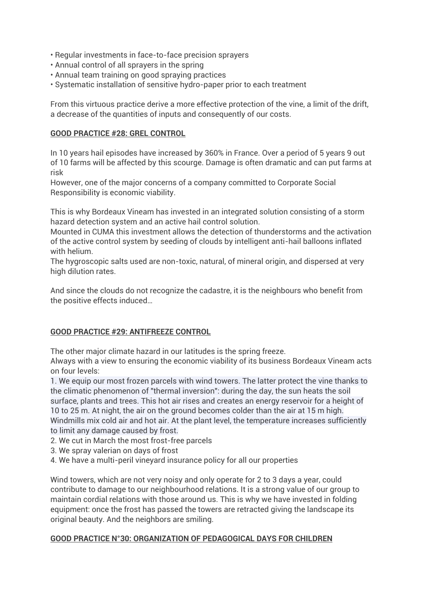- Regular investments in face-to-face precision sprayers
- Annual control of all sprayers in the spring
- Annual team training on good spraying practices
- Systematic installation of sensitive hydro-paper prior to each treatment

From this virtuous practice derive a more effective protection of the vine, a limit of the drift, a decrease of the quantities of inputs and consequently of our costs.

#### **GOOD PRACTICE #28: GREL CONTROL**

In 10 years hail episodes have increased by 360% in France. Over a period of 5 years 9 out of 10 farms will be affected by this scourge. Damage is often dramatic and can put farms at risk

However, one of the major concerns of a company committed to Corporate Social Responsibility is economic viability.

This is why Bordeaux Vineam has invested in an integrated solution consisting of a storm hazard detection system and an active hail control solution.

Mounted in CUMA this investment allows the detection of thunderstorms and the activation of the active control system by seeding of clouds by intelligent anti-hail balloons inflated with helium.

The hygroscopic salts used are non-toxic, natural, of mineral origin, and dispersed at very high dilution rates.

And since the clouds do not recognize the cadastre, it is the neighbours who benefit from the positive effects induced…

#### **GOOD PRACTICE #29: ANTIFREEZE CONTROL**

The other major climate hazard in our latitudes is the spring freeze.

Always with a view to ensuring the economic viability of its business Bordeaux Vineam acts on four levels:

1. We equip our most frozen parcels with wind towers. The latter protect the vine thanks to the climatic phenomenon of "thermal inversion": during the day, the sun heats the soil surface, plants and trees. This hot air rises and creates an energy reservoir for a height of 10 to 25 m. At night, the air on the ground becomes colder than the air at 15 m high. Windmills mix cold air and hot air. At the plant level, the temperature increases sufficiently to limit any damage caused by frost.

- 2. We cut in March the most frost-free parcels
- 3. We spray valerian on days of frost
- 4. We have a multi-peril vineyard insurance policy for all our properties

Wind towers, which are not very noisy and only operate for 2 to 3 days a year, could contribute to damage to our neighbourhood relations. It is a strong value of our group to maintain cordial relations with those around us. This is why we have invested in folding equipment: once the frost has passed the towers are retracted giving the landscape its original beauty. And the neighbors are smiling.

#### **GOOD PRACTICE N°30: ORGANIZATION OF PEDAGOGICAL DAYS FOR CHILDREN**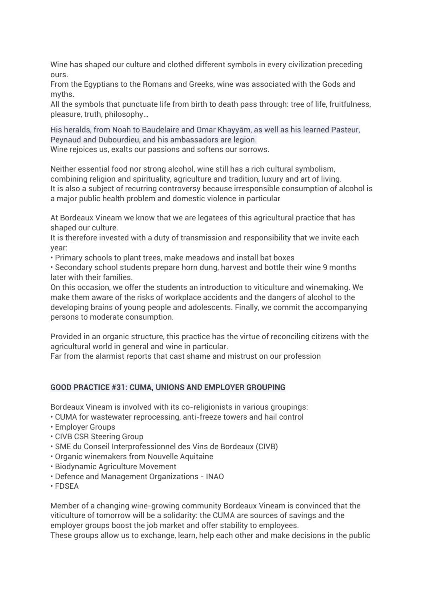Wine has shaped our culture and clothed different symbols in every civilization preceding ours.

From the Egyptians to the Romans and Greeks, wine was associated with the Gods and myths.

All the symbols that punctuate life from birth to death pass through: tree of life, fruitfulness, pleasure, truth, philosophy…

His heralds, from Noah to Baudelaire and Omar Khayyām, as well as his learned Pasteur, Peynaud and Dubourdieu, and his ambassadors are legion. Wine rejoices us, exalts our passions and softens our sorrows.

Neither essential food nor strong alcohol, wine still has a rich cultural symbolism, combining religion and spirituality, agriculture and tradition, luxury and art of living. It is also a subject of recurring controversy because irresponsible consumption of alcohol is a major public health problem and domestic violence in particular

At Bordeaux Vineam we know that we are legatees of this agricultural practice that has shaped our culture.

It is therefore invested with a duty of transmission and responsibility that we invite each year:

• Primary schools to plant trees, make meadows and install bat boxes

• Secondary school students prepare horn dung, harvest and bottle their wine 9 months later with their families.

On this occasion, we offer the students an introduction to viticulture and winemaking. We make them aware of the risks of workplace accidents and the dangers of alcohol to the developing brains of young people and adolescents. Finally, we commit the accompanying persons to moderate consumption.

Provided in an organic structure, this practice has the virtue of reconciling citizens with the agricultural world in general and wine in particular.

Far from the alarmist reports that cast shame and mistrust on our profession

#### **GOOD PRACTICE #31: CUMA, UNIONS AND EMPLOYER GROUPING**

Bordeaux Vineam is involved with its co-religionists in various groupings:

- CUMA for wastewater reprocessing, anti-freeze towers and hail control
- Employer Groups
- CIVB CSR Steering Group
- SME du Conseil Interprofessionnel des Vins de Bordeaux (CIVB)
- Organic winemakers from Nouvelle Aquitaine
- Biodynamic Agriculture Movement
- Defence and Management Organizations INAO
- FDSEA

Member of a changing wine-growing community Bordeaux Vineam is convinced that the viticulture of tomorrow will be a solidarity: the CUMA are sources of savings and the employer groups boost the job market and offer stability to employees.

These groups allow us to exchange, learn, help each other and make decisions in the public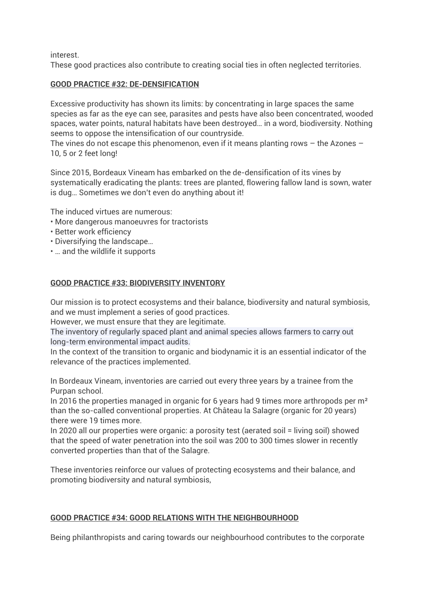interest.

These good practices also contribute to creating social ties in often neglected territories.

## **GOOD PRACTICE #32: DE-DENSIFICATION**

Excessive productivity has shown its limits: by concentrating in large spaces the same species as far as the eye can see, parasites and pests have also been concentrated, wooded spaces, water points, natural habitats have been destroyed… in a word, biodiversity. Nothing seems to oppose the intensification of our countryside.

The vines do not escape this phenomenon, even if it means planting rows – the Azones – 10, 5 or 2 feet long!

Since 2015, Bordeaux Vineam has embarked on the de-densification of its vines by systematically eradicating the plants: trees are planted, flowering fallow land is sown, water is dug… Sometimes we don't even do anything about it!

The induced virtues are numerous:

- More dangerous manoeuvres for tractorists
- Better work efficiency
- Diversifying the landscape…
- … and the wildlife it supports

## **GOOD PRACTICE #33: BIODIVERSITY INVENTORY**

Our mission is to protect ecosystems and their balance, biodiversity and natural symbiosis, and we must implement a series of good practices.

However, we must ensure that they are legitimate.

The inventory of regularly spaced plant and animal species allows farmers to carry out long-term environmental impact audits.

In the context of the transition to organic and biodynamic it is an essential indicator of the relevance of the practices implemented.

In Bordeaux Vineam, inventories are carried out every three years by a trainee from the Purpan school.

In 2016 the properties managed in organic for 6 years had 9 times more arthropods per m² than the so-called conventional properties. At Château la Salagre (organic for 20 years) there were 19 times more.

In 2020 all our properties were organic: a porosity test (aerated soil = living soil) showed that the speed of water penetration into the soil was 200 to 300 times slower in recently converted properties than that of the Salagre.

These inventories reinforce our values of protecting ecosystems and their balance, and promoting biodiversity and natural symbiosis,

# **GOOD PRACTICE #34: GOOD RELATIONS WITH THE NEIGHBOURHOOD**

Being philanthropists and caring towards our neighbourhood contributes to the corporate